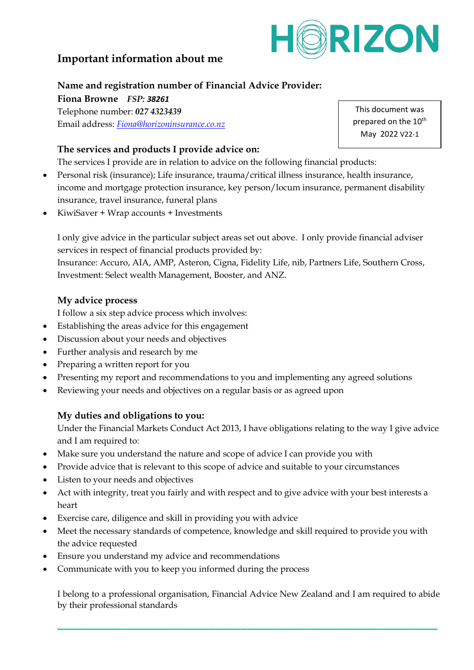

# **Important information about me**

### **Name and registration number of Financial Advice Provider:**

**Fiona Browne** *FSP: 38261*

Telephone number: *027 4323439* Email address: *[Fiona@horizoninsurance.co.nz](mailto:Fiona@horizoninsurance.co.nz)*

**The services and products I provide advice on:**

The services I provide are in relation to advice on the following financial products:

- Personal risk (insurance); Life insurance, trauma/critical illness insurance, health insurance, income and mortgage protection insurance, key person/locum insurance, permanent disability insurance, travel insurance, funeral plans
- KiwiSaver + Wrap accounts + Investments

I only give advice in the particular subject areas set out above. I only provide financial adviser services in respect of financial products provided by:

Insurance: Accuro, AIA, AMP, Asteron, Cigna, Fidelity Life, nib, Partners Life, Southern Cross, Investment: Select wealth Management, Booster, and ANZ.

## **My advice process**

I follow a six step advice process which involves:

- Establishing the areas advice for this engagement
- Discussion about your needs and objectives
- Further analysis and research by me
- Preparing a written report for you
- Presenting my report and recommendations to you and implementing any agreed solutions
- Reviewing your needs and objectives on a regular basis or as agreed upon

## **My duties and obligations to you:**

Under the Financial Markets Conduct Act 2013, I have obligations relating to the way I give advice and I am required to:

- Make sure you understand the nature and scope of advice I can provide you with
- Provide advice that is relevant to this scope of advice and suitable to your circumstances
- Listen to your needs and objectives
- Act with integrity, treat you fairly and with respect and to give advice with your best interests a heart
- Exercise care, diligence and skill in providing you with advice
- Meet the necessary standards of competence, knowledge and skill required to provide you with the advice requested
- Ensure you understand my advice and recommendations
- Communicate with you to keep you informed during the process

I belong to a professional organisation, Financial Advice New Zealand and I am required to abide by their professional standards

**\_\_\_\_\_\_\_\_\_\_\_\_\_\_\_\_\_\_\_\_\_\_\_\_\_\_\_\_\_\_\_\_\_\_\_\_\_\_\_\_\_\_\_\_\_\_\_\_\_\_\_\_\_\_\_\_\_\_\_\_**

This document was prepared on the 10<sup>th</sup> May 2022 V22-1